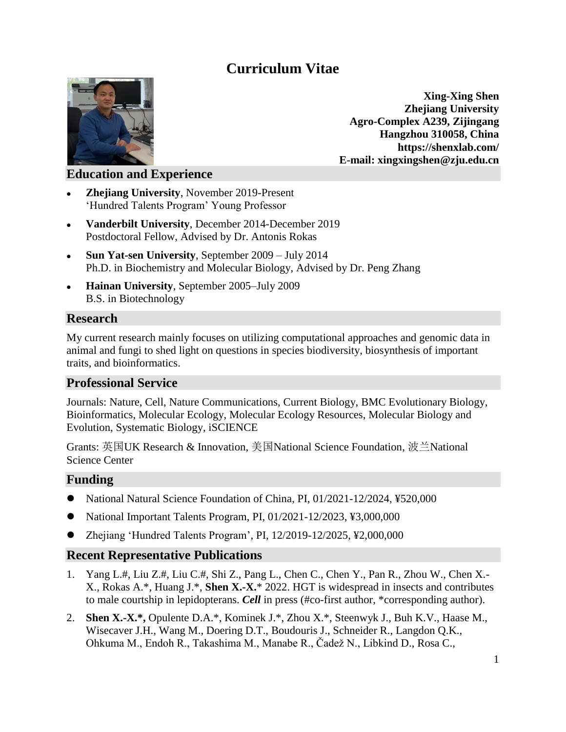# **Curriculum Vitae**



**Xing-Xing Shen Zhejiang University Agro-Complex A239, Zijingang Hangzhou 310058, China https://shenxlab.com/ E-mail: xingxingshen@zju.edu.cn**

# **Education and Experience**

- **Zhejiang University**, November 2019-Present 'Hundred Talents Program' Young Professor
- **Vanderbilt University**, December 2014-December 2019 Postdoctoral Fellow, Advised by Dr. Antonis Rokas
- Sun Yat-sen University, September 2009 July 2014 Ph.D. in Biochemistry and Molecular Biology, Advised by Dr. Peng Zhang
- **Hainan University**, September 2005–July 2009 B.S. in Biotechnology

## **Research**

My current research mainly focuses on utilizing computational approaches and genomic data in animal and fungi to shed light on questions in species biodiversity, biosynthesis of important traits, and bioinformatics.

## **Professional Service**

Journals: Nature, Cell, Nature Communications, Current Biology, BMC Evolutionary Biology, Bioinformatics, Molecular Ecology, Molecular Ecology Resources, Molecular Biology and Evolution, Systematic Biology, iSCIENCE

Grants: 英国UK Research & Innovation, 美国National Science Foundation, 波兰National Science Center

#### **Funding**

- National Natural Science Foundation of China, PI, 01/2021-12/2024, ¥520,000
- National Important Talents Program, PI, 01/2021-12/2023, ¥3,000,000
- Zhejiang 'Hundred Talents Program', PI, 12/2019-12/2025, \£2,000,000

#### **Recent Representative Publications**

- 1. Yang L.#, Liu Z.#, Liu C.#, Shi Z., Pang L., Chen C., Chen Y., Pan R., Zhou W., Chen X.- X., Rokas A.\*, Huang J.\*, **Shen X.-X.**\* 2022. HGT is widespread in insects and contributes to male courtship in lepidopterans. *Cell* in press (#co-first author, \*corresponding author).
- 2. **Shen X.-X.\*,** Opulente D.A.\*, Kominek J.\*, Zhou X.\*, Steenwyk J., Buh K.V., Haase M., Wisecaver J.H., Wang M., Doering D.T., Boudouris J., Schneider R., Langdon Q.K., Ohkuma M., Endoh R., Takashima M., Manabe R., Čadež N., Libkind D., Rosa C.,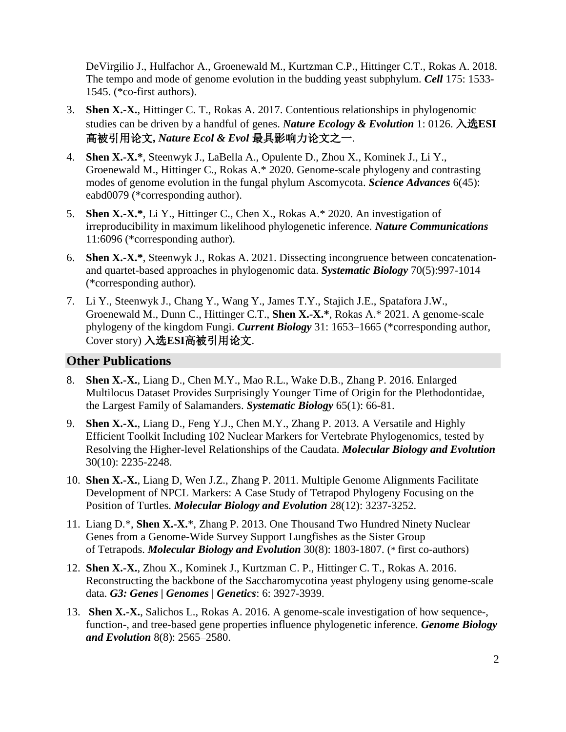DeVirgilio J., Hulfachor A., Groenewald M., Kurtzman C.P., Hittinger C.T., Rokas A. 2018. The tempo and mode of genome evolution in the budding yeast subphylum. *Cell* 175: 1533- 1545. (\*co-first authors).

- 3. **Shen X.-X.**, Hittinger C. T., Rokas A. 2017. Contentious relationships in phylogenomic studies can be driven by a handful of genes. *Nature Ecology & Evolution* 1: 0126. 入选**ESI** 高被引用论文**,** *Nature Ecol & Evol* 最具影响力论文之一.
- 4. **Shen X.-X.\***, Steenwyk J., LaBella A., Opulente D., Zhou X., Kominek J., Li Y., Groenewald M., Hittinger C., Rokas A.\* 2020. Genome-scale phylogeny and contrasting modes of genome evolution in the fungal phylum Ascomycota. *Science Advances* 6(45): eabd0079 (\*corresponding author).
- 5. **Shen X.-X.\***, Li Y., Hittinger C., Chen X., Rokas A.\* 2020. An investigation of irreproducibility in maximum likelihood phylogenetic inference. *Nature Communications* 11:6096 (\*corresponding author).
- 6. **Shen X.-X.\***, Steenwyk J., Rokas A. 2021. Dissecting incongruence between concatenationand quartet-based approaches in phylogenomic data. *Systematic Biology* 70(5):997-1014 (\*corresponding author).
- 7. Li Y., Steenwyk J., Chang Y., Wang Y., James T.Y., Stajich J.E., Spatafora J.W., Groenewald M., Dunn C., Hittinger C.T., **Shen X.-X.\***, Rokas A.\* 2021. A genome-scale phylogeny of the kingdom Fungi. *Current Biology* 31: 1653–1665 (\*corresponding author, Cover story) 入选**ESI**高被引用论文.

## **Other Publications**

- 8. **Shen X.-X.**, Liang D., Chen M.Y., Mao R.L., Wake D.B., Zhang P. 2016. Enlarged Multilocus Dataset Provides Surprisingly Younger Time of Origin for the Plethodontidae, the Largest Family of Salamanders. *Systematic Biology* 65(1): 66-81.
- 9. **Shen X.-X.**, Liang D., Feng Y.J., Chen M.Y., Zhang P. 2013. A Versatile and Highly Efficient Toolkit Including 102 Nuclear Markers for Vertebrate Phylogenomics, tested by Resolving the Higher-level Relationships of the Caudata. *Molecular Biology and Evolution* 30(10): 2235-2248.
- 10. **Shen X.-X.**, Liang D, Wen J.Z., Zhang P. 2011. Multiple Genome Alignments Facilitate Development of NPCL Markers: A Case Study of Tetrapod Phylogeny Focusing on the Position of Turtles. *Molecular Biology and Evolution* 28(12): 3237-3252.
- 11. Liang D.\*, **Shen X.-X.**\*, Zhang P. 2013. One Thousand Two Hundred Ninety Nuclear Genes from a Genome-Wide Survey Support Lungfishes as the Sister Group of Tetrapods. *Molecular Biology and Evolution* 30(8): 1803-1807. (\* first co-authors)
- 12. **Shen X.-X.**, Zhou X., Kominek J., Kurtzman C. P., Hittinger C. T., Rokas A. 2016. Reconstructing the backbone of the Saccharomycotina yeast phylogeny using genome-scale data. *G3: Genes | Genomes | Genetics*: 6: 3927-3939.
- 13. **Shen X.-X.**, Salichos L., Rokas A. 2016. A genome-scale investigation of how sequence-, function-, and tree-based gene properties influence phylogenetic inference. *Genome Biology and Evolution* 8(8): 2565–2580.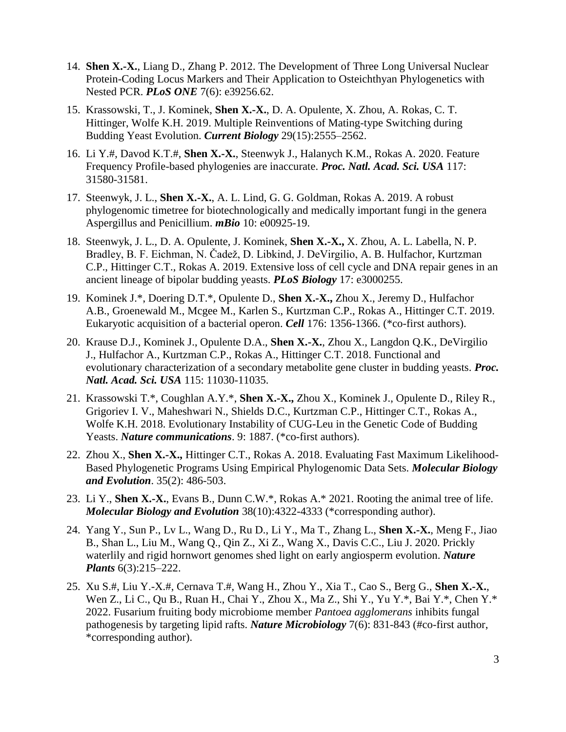- 14. **Shen X.-X.**, Liang D., Zhang P. 2012. The Development of Three Long Universal Nuclear Protein-Coding Locus Markers and Their Application to Osteichthyan Phylogenetics with Nested PCR. *PLoS ONE* 7(6): e39256.62.
- 15. Krassowski, T., J. Kominek, **Shen X.-X.**, D. A. Opulente, X. Zhou, A. Rokas, C. T. Hittinger, Wolfe K.H. 2019. Multiple Reinventions of Mating-type Switching during Budding Yeast Evolution. *Current Biology* 29(15):2555–2562.
- 16. Li Y.#, Davod K.T.#, **Shen X.-X.**, Steenwyk J., Halanych K.M., Rokas A. 2020. Feature Frequency Profile-based phylogenies are inaccurate. *Proc. Natl. Acad. Sci. USA* 117: 31580-31581.
- 17. Steenwyk, J. L., **Shen X.-X.**, A. L. Lind, G. G. Goldman, Rokas A. 2019. A robust phylogenomic timetree for biotechnologically and medically important fungi in the genera Aspergillus and Penicillium. *mBio* 10: e00925-19.
- 18. Steenwyk, J. L., D. A. Opulente, J. Kominek, **Shen X.-X.,** X. Zhou, A. L. Labella, N. P. Bradley, B. F. Eichman, N. Čadež, D. Libkind, J. DeVirgilio, A. B. Hulfachor, Kurtzman C.P., Hittinger C.T., Rokas A. 2019. Extensive loss of cell cycle and DNA repair genes in an ancient lineage of bipolar budding yeasts. *PLoS Biology* 17: e3000255.
- 19. Kominek J.\*, Doering D.T.\*, Opulente D., **Shen X.-X.,** Zhou X., Jeremy D., Hulfachor A.B., Groenewald M., Mcgee M., Karlen S., Kurtzman C.P., Rokas A., Hittinger C.T. 2019. Eukaryotic acquisition of a bacterial operon. *Cell* 176: 1356-1366. (\*co-first authors).
- 20. Krause D.J., Kominek J., Opulente D.A., **Shen X.-X.**, Zhou X., Langdon Q.K., DeVirgilio J., Hulfachor A., Kurtzman C.P., Rokas A., Hittinger C.T. 2018. Functional and evolutionary characterization of a secondary metabolite gene cluster in budding yeasts. *Proc. Natl. Acad. Sci. USA* 115: 11030-11035.
- 21. Krassowski T.\*, Coughlan A.Y.\*, **Shen X.-X.,** Zhou X., Kominek J., Opulente D., Riley R., Grigoriev I. V., Maheshwari N., Shields D.C., Kurtzman C.P., Hittinger C.T., Rokas A., Wolfe K.H. 2018. Evolutionary Instability of CUG-Leu in the Genetic Code of Budding Yeasts. *Nature communications*. 9: 1887. (\*co-first authors).
- 22. Zhou X., **Shen X.-X.,** Hittinger C.T., Rokas A. 2018. Evaluating Fast Maximum Likelihood-Based Phylogenetic Programs Using Empirical Phylogenomic Data Sets. *Molecular Biology and Evolution*. 35(2): 486-503.
- 23. Li Y., **Shen X.-X.**, Evans B., Dunn C.W.\*, Rokas A.\* 2021. Rooting the animal tree of life. *Molecular Biology and Evolution* 38(10):4322-4333 (\*corresponding author).
- 24. Yang Y., Sun P., Lv L., Wang D., Ru D., Li Y., Ma T., Zhang L., **Shen X.-X.**, Meng F., Jiao B., Shan L., Liu M., Wang Q., Qin Z., Xi Z., Wang X., Davis C.C., Liu J. 2020. Prickly waterlily and rigid hornwort genomes shed light on early angiosperm evolution. *Nature Plants* 6(3):215–222.
- 25. Xu S.#, Liu Y.-X.#, Cernava T.#, Wang H., Zhou Y., Xia T., Cao S., Berg G., **Shen X.-X.**, Wen Z., Li C., Qu B., Ruan H., Chai Y., Zhou X., Ma Z., Shi Y., Yu Y.\*, Bai Y.\*, Chen Y.\* 2022. Fusarium fruiting body microbiome member *Pantoea agglomerans* inhibits fungal pathogenesis by targeting lipid rafts. *Nature Microbiology* 7(6): 831-843 (#co-first author, \*corresponding author).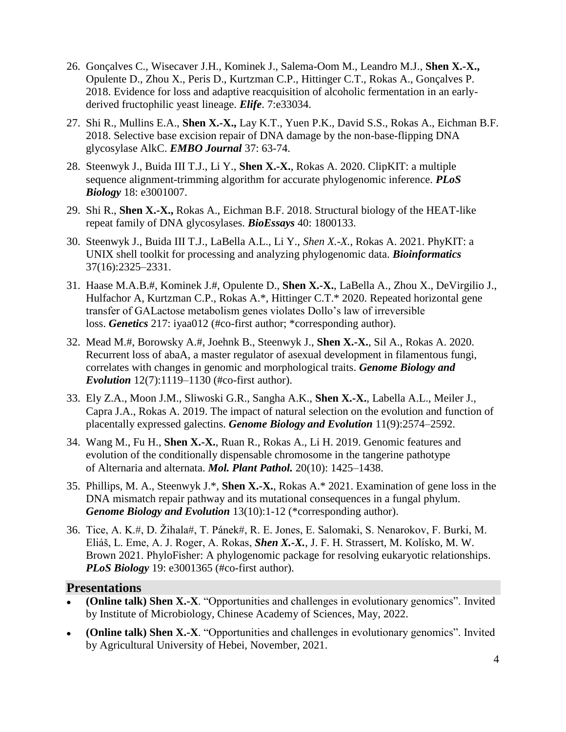- 26. Gonçalves C., Wisecaver J.H., Kominek J., Salema-Oom M., Leandro M.J., **Shen X.-X.,** Opulente D., Zhou X., Peris D., Kurtzman C.P., Hittinger C.T., Rokas A., Gonçalves P. 2018. Evidence for loss and adaptive reacquisition of alcoholic fermentation in an earlyderived fructophilic yeast lineage. *Elife*. 7:e33034.
- 27. Shi R., Mullins E.A., **Shen X.-X.,** Lay K.T., Yuen P.K., David S.S., Rokas A., Eichman B.F. 2018. Selective base excision repair of DNA damage by the non-base-flipping DNA glycosylase AlkC. *EMBO Journal* 37: 63-74.
- 28. Steenwyk J., Buida III T.J., Li Y., **Shen X.-X.**, Rokas A. 2020. ClipKIT: a multiple sequence alignment-trimming algorithm for accurate phylogenomic inference. *PLoS Biology* 18: e3001007.
- 29. Shi R., **Shen X.-X.,** Rokas A., Eichman B.F. 2018. Structural biology of the HEAT-like repeat family of DNA glycosylases. *BioEssays* 40: 1800133.
- 30. Steenwyk J., Buida III T.J., LaBella A.L., Li Y., *Shen X.-X.*, Rokas A. 2021. PhyKIT: a UNIX shell toolkit for processing and analyzing phylogenomic data. *Bioinformatics* 37(16):2325–2331.
- 31. Haase M.A.B.#, Kominek J.#, Opulente D., **Shen X.-X.**, LaBella A., Zhou X., DeVirgilio J., Hulfachor A, Kurtzman C.P., Rokas A.\*, Hittinger C.T.\* 2020. Repeated horizontal gene transfer of GALactose metabolism genes violates Dollo's law of irreversible loss. *Genetics* 217: iyaa012 (#co-first author; \*corresponding author).
- 32. Mead M.#, Borowsky A.#, Joehnk B., Steenwyk J., **Shen X.-X.**, Sil A., Rokas A. 2020. Recurrent loss of abaA, a master regulator of asexual development in filamentous fungi, correlates with changes in genomic and morphological traits. *Genome Biology and Evolution* 12(7):1119–1130 (#co-first author).
- 33. Ely Z.A., Moon J.M., Sliwoski G.R., Sangha A.K., **Shen X.-X.**, Labella A.L., Meiler J., Capra J.A., Rokas A. 2019. The impact of natural selection on the evolution and function of placentally expressed galectins. *Genome Biology and Evolution* 11(9):2574–2592.
- 34. Wang M., Fu H., **Shen X.-X.**, Ruan R., Rokas A., Li H. 2019. Genomic features and evolution of the conditionally dispensable chromosome in the tangerine pathotype of Alternaria and alternata. *Mol. Plant Pathol.* 20(10): 1425–1438.
- 35. Phillips, M. A., Steenwyk J.\*, **Shen X.-X.**, Rokas A.\* 2021. Examination of gene loss in the DNA mismatch repair pathway and its mutational consequences in a fungal phylum. *Genome Biology and Evolution* 13(10):1-12 (\*corresponding author).
- 36. Tice, A. K.#, D. Žihala#, T. Pánek#, R. E. Jones, E. Salomaki, S. Nenarokov, F. Burki, M. Eliáš, L. Eme, A. J. Roger, A. Rokas, *Shen X.-X.*, J. F. H. Strassert, M. Kolísko, M. W. Brown 2021. PhyloFisher: A phylogenomic package for resolving eukaryotic relationships. *PLoS Biology* 19: e3001365 (#co-first author).

#### **Presentations**

- **(Online talk) Shen X.-X**. "Opportunities and challenges in evolutionary genomics". Invited by Institute of Microbiology, Chinese Academy of Sciences, May, 2022.
- **(Online talk) Shen X.-X**. "Opportunities and challenges in evolutionary genomics". Invited by Agricultural University of Hebei, November, 2021.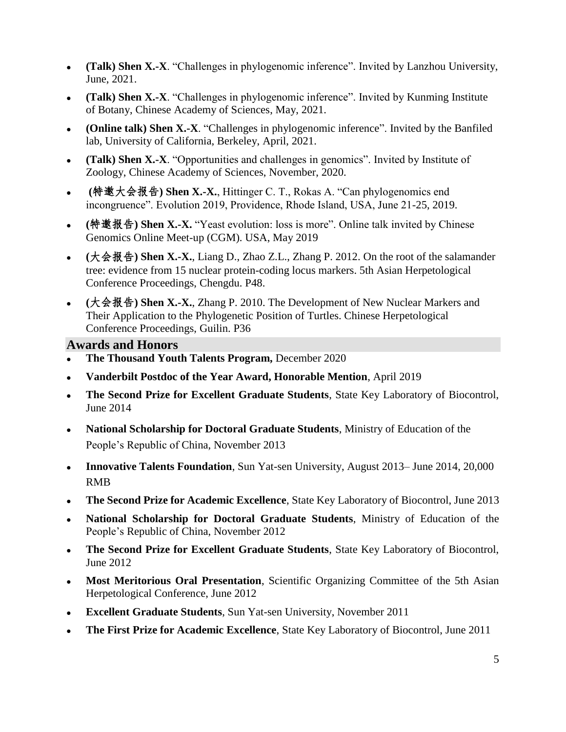- **(Talk) Shen X.-X**. "Challenges in phylogenomic inference". Invited by Lanzhou University, June, 2021.
- **(Talk) Shen X.-X**. "Challenges in phylogenomic inference". Invited by Kunming Institute of Botany, Chinese Academy of Sciences, May, 2021.
- **(Online talk) Shen X.-X**. "Challenges in phylogenomic inference". Invited by the Banfiled lab, University of California, Berkeley, April, 2021.
- **(Talk) Shen X.-X**. "Opportunities and challenges in genomics". Invited by Institute of Zoology, Chinese Academy of Sciences, November, 2020.
- **(**特邀大会报告**) Shen X.-X.**, Hittinger C. T., Rokas A. "Can phylogenomics end incongruence". Evolution 2019, Providence, Rhode Island, USA, June 21-25, 2019.
- **(**特邀报告**) Shen X.-X.** "Yeast evolution: loss is more". Online talk invited by Chinese Genomics Online Meet-up (CGM). USA, May 2019
- **(**大会报告**) Shen X.-X.**, Liang D., Zhao Z.L., Zhang P. 2012. On the root of the salamander tree: evidence from 15 nuclear protein-coding locus markers. 5th Asian Herpetological Conference Proceedings, Chengdu. P48.
- **(**大会报告**) Shen X.-X.**, Zhang P. 2010. The Development of New Nuclear Markers and Their Application to the Phylogenetic Position of Turtles. Chinese Herpetological Conference Proceedings, Guilin. P36

# **Awards and Honors**

- **The Thousand Youth Talents Program,** December 2020
- **Vanderbilt Postdoc of the Year Award, Honorable Mention**, April 2019
- **The Second Prize for Excellent Graduate Students**, State Key Laboratory of Biocontrol, June 2014
- **National Scholarship for Doctoral Graduate Students**, Ministry of Education of the People's Republic of China, November 2013
- **Innovative Talents Foundation**, Sun Yat-sen University, August 2013– June 2014, 20,000 RMB
- **The Second Prize for Academic Excellence**, State Key Laboratory of Biocontrol, June 2013
- **National Scholarship for Doctoral Graduate Students**, Ministry of Education of the People's Republic of China, November 2012
- **The Second Prize for Excellent Graduate Students**, State Key Laboratory of Biocontrol, June 2012
- Most Meritorious Oral Presentation, Scientific Organizing Committee of the 5th Asian Herpetological Conference, June 2012
- **Excellent Graduate Students**, Sun Yat-sen University, November 2011
- **The First Prize for Academic Excellence**, State Key Laboratory of Biocontrol, June 2011